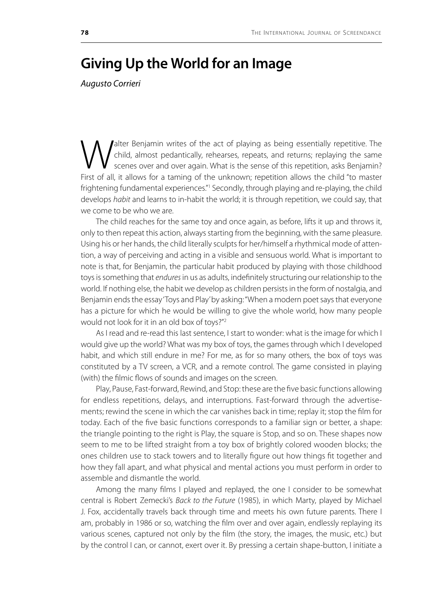## **Giving Up the World for an Image**

*Augusto Corrieri*

Walter Benjamin writes of the act of playing as being essentially repetitive. The child, almost pedantically, rehearses, repeats, and returns; replaying the same scenes over and over again. What is the sense of this repeti child, almost pedantically, rehearses, repeats, and returns; replaying the same scenes over and over again. What is the sense of this repetition, asks Benjamin? First of all, it allows for a taming of the unknown; repetition allows the child "to master frightening fundamental experiences."<sup>1</sup> Secondly, through playing and re-playing, the child develops *habit* and learns to in-habit the world; it is through repetition, we could say, that we come to be who we are.

The child reaches for the same toy and once again, as before, lifts it up and throws it, only to then repeat this action, always starting from the beginning, with the same pleasure. Using his or her hands, the child literally sculpts for her/himself a rhythmical mode of attention, a way of perceiving and acting in a visible and sensuous world. What is important to note is that, for Benjamin, the particular habit produced by playing with those childhood toys is something that *endures* in us as adults, indefinitely structuring our relationship to the world. If nothing else, the habit we develop as children persists in the form of nostalgia, and Benjamin ends the essay 'Toys and Play' by asking: "When a modern poet says that everyone has a picture for which he would be willing to give the whole world, how many people would not look for it in an old box of toys?"2

As I read and re-read this last sentence, I start to wonder: what is the image for which I would give up the world? What was my box of toys, the games through which I developed habit, and which still endure in me? For me, as for so many others, the box of toys was constituted by a TV screen, a VCR, and a remote control. The game consisted in playing (with) the filmic flows of sounds and images on the screen.

Play, Pause, Fast-forward, Rewind, and Stop: these are the five basic functions allowing for endless repetitions, delays, and interruptions. Fast-forward through the advertisements; rewind the scene in which the car vanishes back in time; replay it; stop the film for today. Each of the five basic functions corresponds to a familiar sign or better, a shape: the triangle pointing to the right is Play, the square is Stop, and so on. These shapes now seem to me to be lifted straight from a toy box of brightly colored wooden blocks; the ones children use to stack towers and to literally figure out how things fit together and how they fall apart, and what physical and mental actions you must perform in order to assemble and dismantle the world.

Among the many films I played and replayed, the one I consider to be somewhat central is Robert Zemecki's *Back to the Future* (1985), in which Marty, played by Michael J. Fox, accidentally travels back through time and meets his own future parents. There I am, probably in 1986 or so, watching the film over and over again, endlessly replaying its various scenes, captured not only by the film (the story, the images, the music, etc.) but by the control I can, or cannot, exert over it. By pressing a certain shape-button, I initiate a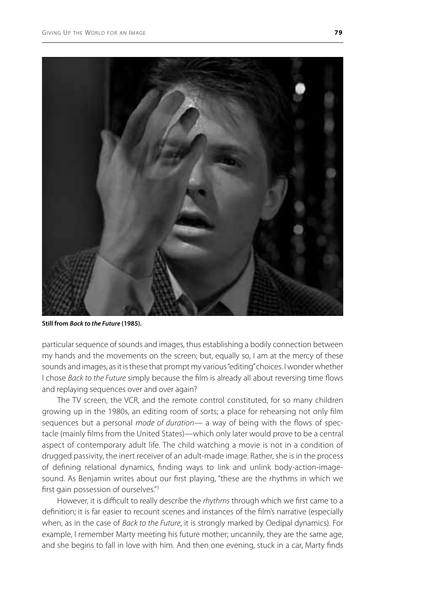

**Still from** *Back to the Future* **(1985)***.* 

particular sequence of sounds and images, thus establishing a bodily connection between my hands and the movements on the screen; but, equally so, I am at the mercy of these sounds and images, as it is these that prompt my various "editing" choices. I wonder whether I chose *Back to the Future* simply because the film is already all about reversing time flows and replaying sequences over and over again?

The TV screen, the VCR, and the remote control constituted, for so many children growing up in the 1980s, an editing room of sorts; a place for rehearsing not only film sequences but a personal *mode of duration—* a way of being with the flows of spectacle (mainly films from the United States)—which only later would prove to be a central aspect of contemporary adult life. The child watching a movie is not in a condition of drugged passivity, the inert receiver of an adult-made image. Rather, she is in the process of defining relational dynamics, finding ways to link and unlink body-action-imagesound. As Benjamin writes about our first playing, "these are the rhythms in which we first gain possession of ourselves."3

However, it is difficult to really describe the *rhythms* through which we first came to a definition; it is far easier to recount scenes and instances of the film's narrative (especially when, as in the case of *Back to the Future*, it is strongly marked by Oedipal dynamics). For example, I remember Marty meeting his future mother; uncannily, they are the same age, and she begins to fall in love with him. And then one evening, stuck in a car, Marty finds